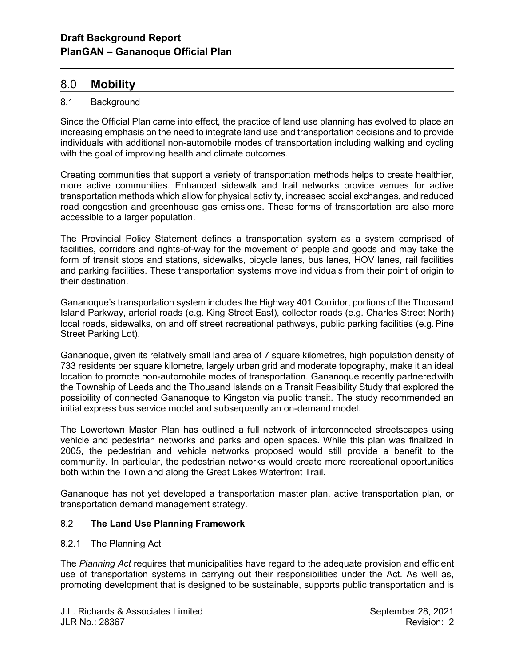# 8.0 Mobility

l

## 8.1 Background

Since the Official Plan came into effect, the practice of land use planning has evolved to place an increasing emphasis on the need to integrate land use and transportation decisions and to provide individuals with additional non-automobile modes of transportation including walking and cycling with the goal of improving health and climate outcomes.

Creating communities that support a variety of transportation methods helps to create healthier, more active communities. Enhanced sidewalk and trail networks provide venues for active transportation methods which allow for physical activity, increased social exchanges, and reduced road congestion and greenhouse gas emissions. These forms of transportation are also more accessible to a larger population.

The Provincial Policy Statement defines a transportation system as a system comprised of facilities, corridors and rights-of-way for the movement of people and goods and may take the form of transit stops and stations, sidewalks, bicycle lanes, bus lanes, HOV lanes, rail facilities and parking facilities. These transportation systems move individuals from their point of origin to their destination.

Gananoque's transportation system includes the Highway 401 Corridor, portions of the Thousand Island Parkway, arterial roads (e.g. King Street East), collector roads (e.g. Charles Street North) local roads, sidewalks, on and off street recreational pathways, public parking facilities (e.g. Pine Street Parking Lot).

Gananoque, given its relatively small land area of 7 square kilometres, high population density of 733 residents per square kilometre, largely urban grid and moderate topography, make it an ideal location to promote non-automobile modes of transportation. Gananoque recently partnered with the Township of Leeds and the Thousand Islands on a Transit Feasibility Study that explored the possibility of connected Gananoque to Kingston via public transit. The study recommended an initial express bus service model and subsequently an on-demand model.

The Lowertown Master Plan has outlined a full network of interconnected streetscapes using vehicle and pedestrian networks and parks and open spaces. While this plan was finalized in 2005, the pedestrian and vehicle networks proposed would still provide a benefit to the community. In particular, the pedestrian networks would create more recreational opportunities both within the Town and along the Great Lakes Waterfront Trail.

Gananoque has not yet developed a transportation master plan, active transportation plan, or transportation demand management strategy.

### 8.2 The Land Use Planning Framework

### 8.2.1 The Planning Act

The Planning Act requires that municipalities have regard to the adequate provision and efficient use of transportation systems in carrying out their responsibilities under the Act. As well as, promoting development that is designed to be sustainable, supports public transportation and is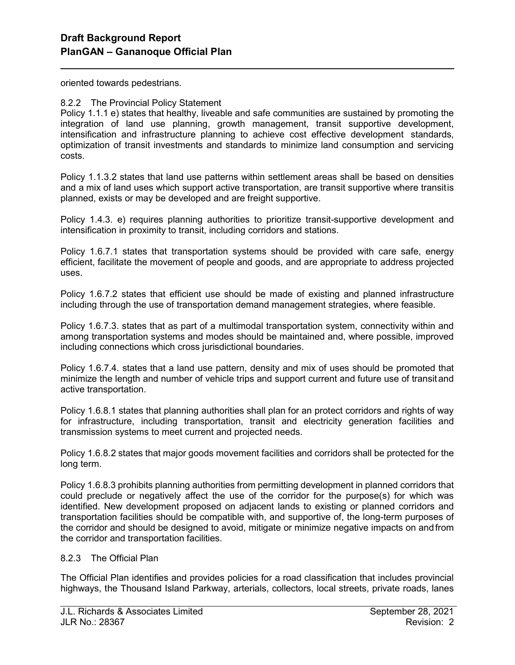oriented towards pedestrians.

l

#### 8.2.2 The Provincial Policy Statement

Policy 1.1.1 e) states that healthy, liveable and safe communities are sustained by promoting the integration of land use planning, growth management, transit supportive development, intensification and infrastructure planning to achieve cost effective development standards, optimization of transit investments and standards to minimize land consumption and servicing costs.

Policy 1.1.3.2 states that land use patterns within settlement areas shall be based on densities and a mix of land uses which support active transportation, are transit supportive where transit is planned, exists or may be developed and are freight supportive.

Policy 1.4.3. e) requires planning authorities to prioritize transit-supportive development and intensification in proximity to transit, including corridors and stations.

Policy 1.6.7.1 states that transportation systems should be provided with care safe, energy efficient, facilitate the movement of people and goods, and are appropriate to address projected uses.

Policy 1.6.7.2 states that efficient use should be made of existing and planned infrastructure including through the use of transportation demand management strategies, where feasible.

Policy 1.6.7.3. states that as part of a multimodal transportation system, connectivity within and among transportation systems and modes should be maintained and, where possible, improved including connections which cross jurisdictional boundaries.

Policy 1.6.7.4. states that a land use pattern, density and mix of uses should be promoted that minimize the length and number of vehicle trips and support current and future use of transit and active transportation.

Policy 1.6.8.1 states that planning authorities shall plan for an protect corridors and rights of way for infrastructure, including transportation, transit and electricity generation facilities and transmission systems to meet current and projected needs.

Policy 1.6.8.2 states that major goods movement facilities and corridors shall be protected for the long term.

Policy 1.6.8.3 prohibits planning authorities from permitting development in planned corridors that could preclude or negatively affect the use of the corridor for the purpose(s) for which was identified. New development proposed on adjacent lands to existing or planned corridors and transportation facilities should be compatible with, and supportive of, the long-term purposes of the corridor and should be designed to avoid, mitigate or minimize negative impacts on and from the corridor and transportation facilities.

### 8.2.3 The Official Plan

The Official Plan identifies and provides policies for a road classification that includes provincial highways, the Thousand Island Parkway, arterials, collectors, local streets, private roads, lanes